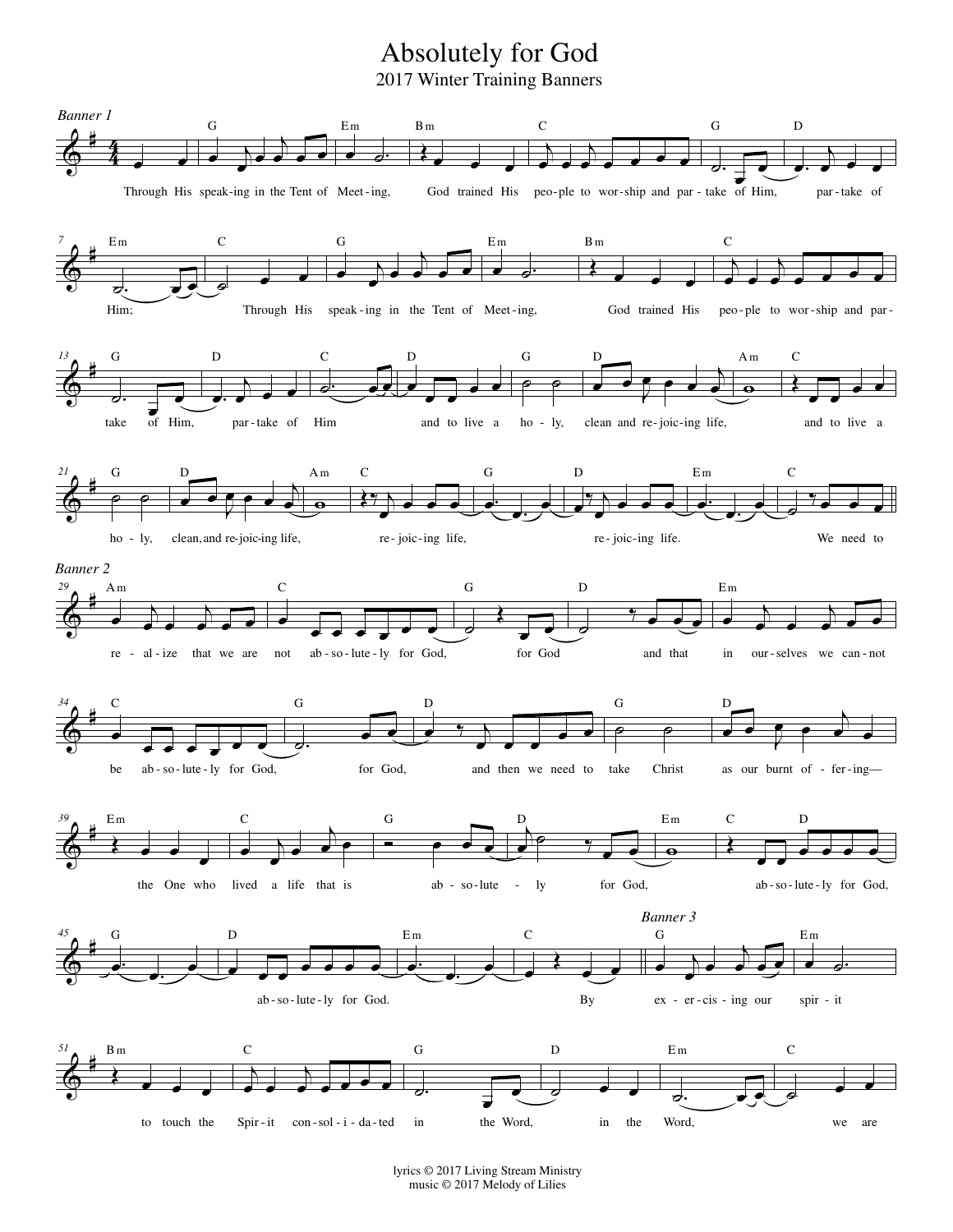## Absolutely for God

2017 Winter Training Banners